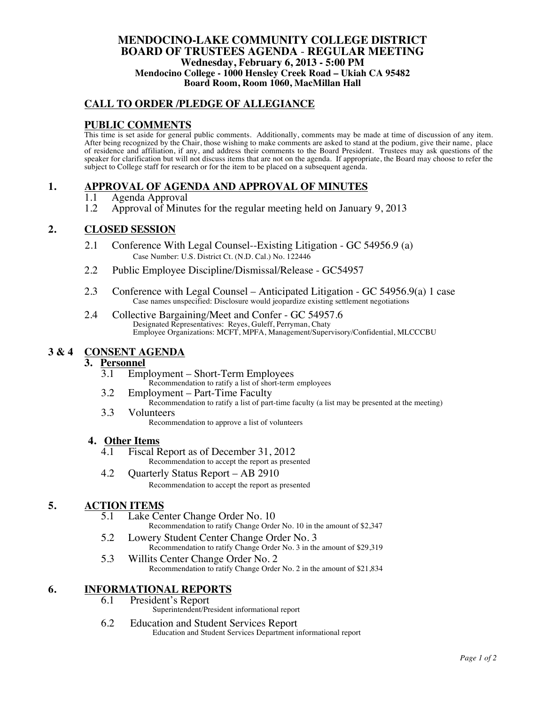## **MENDOCINO-LAKE COMMUNITY COLLEGE DISTRICT BOARD OF TRUSTEES AGENDA** - **REGULAR MEETING Wednesday, February 6, 2013 - 5:00 PM Mendocino College - 1000 Hensley Creek Road – Ukiah CA 95482 Board Room, Room 1060, MacMillan Hall**

## **CALL TO ORDER /PLEDGE OF ALLEGIANCE**

## **PUBLIC COMMENTS**

This time is set aside for general public comments. Additionally, comments may be made at time of discussion of any item. After being recognized by the Chair, those wishing to make comments are asked to stand at the podium, give their name, place of residence and affiliation, if any, and address their comments to the Board President. Trustees may ask questions of the speaker for clarification but will not discuss items that are not on the agenda. If appropriate, the Board may choose to refer the subject to College staff for research or for the item to be placed on a subsequent agenda.

## **1. APPROVAL OF AGENDA AND APPROVAL OF MINUTES**

- 1.1 Agenda Approval<br>1.2 Approval of Minu
- 1.2 Approval of Minutes for the regular meeting held on January 9, 2013

## **2. CLOSED SESSION**

- 2.1 Conference With Legal Counsel--Existing Litigation GC 54956.9 (a) Case Number: U.S. District Ct. (N.D. Cal.) No. 122446
- 2.2 Public Employee Discipline/Dismissal/Release GC54957
- 2.3 Conference with Legal Counsel Anticipated Litigation GC 54956.9(a) 1 case Case names unspecified: Disclosure would jeopardize existing settlement negotiations
- 2.4 Collective Bargaining/Meet and Confer GC 54957.6 Designated Representatives: Reyes, Guleff, Perryman, Chaty Employee Organizations: MCFT, MPFA, Management/Supervisory/Confidential, MLCCCBU

## **3 & 4 CONSENT AGENDA**

#### **3. Personnel**

- 3.1 Employment Short-Term Employees Recommendation to ratify a list of short-term employees
- 3.2 Employment Part-Time Faculty
	- Recommendation to ratify a list of part-time faculty (a list may be presented at the meeting)
- 3.3 Volunteers Recommendation to approve a list of volunteers

#### **4. Other Items**

- 4.1 Fiscal Report as of December 31, 2012 Recommendation to accept the report as presented
- 4.2 Quarterly Status Report AB 2910 Recommendation to accept the report as presented

## **5. ACTION ITEMS**

- 5.1 Lake Center Change Order No. 10 Recommendation to ratify Change Order No. 10 in the amount of \$2,347
- 5.2 Lowery Student Center Change Order No. 3 Recommendation to ratify Change Order No. 3 in the amount of \$29,319
- 5.3 Willits Center Change Order No. 2 Recommendation to ratify Change Order No. 2 in the amount of \$21,834

# **6. INFORMATIONAL REPORTS**<br>**6.1** President's Report

- President's Report
	- Superintendent/President informational report
- 6.2 Education and Student Services Report Education and Student Services Department informational report